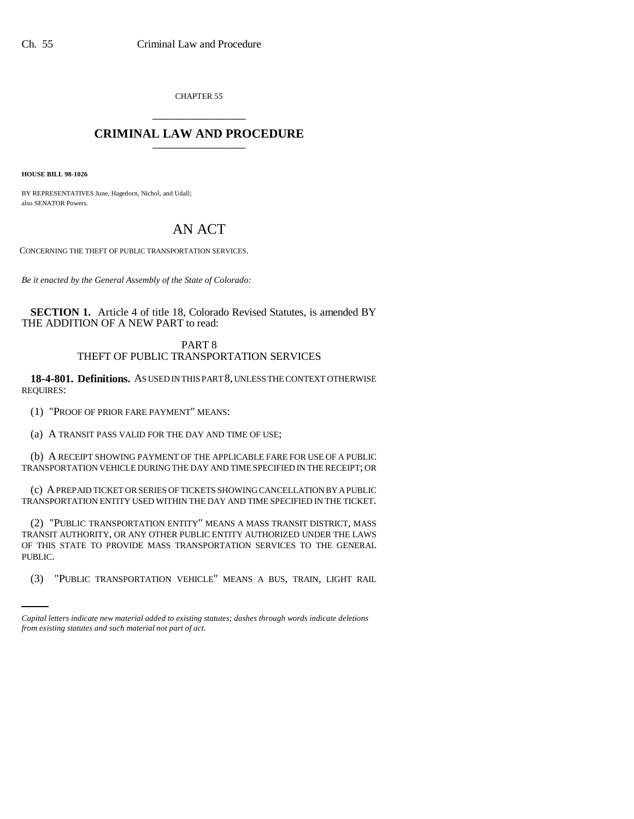CHAPTER 55 \_\_\_\_\_\_\_\_\_\_\_\_\_\_\_

## **CRIMINAL LAW AND PROCEDURE** \_\_\_\_\_\_\_\_\_\_\_\_\_\_\_

**HOUSE BILL 98-1026**

BY REPRESENTATIVES June, Hagedorn, Nichol, and Udall; also SENATOR Powers.

## AN ACT

CONCERNING THE THEFT OF PUBLIC TRANSPORTATION SERVICES.

*Be it enacted by the General Assembly of the State of Colorado:*

**SECTION 1.** Article 4 of title 18, Colorado Revised Statutes, is amended BY THE ADDITION OF A NEW PART to read:

## PART 8 THEFT OF PUBLIC TRANSPORTATION SERVICES

**18-4-801. Definitions.** AS USED IN THIS PART 8, UNLESS THE CONTEXT OTHERWISE REQUIRES:

(1) "PROOF OF PRIOR FARE PAYMENT" MEANS:

(a) A TRANSIT PASS VALID FOR THE DAY AND TIME OF USE;

(b) A RECEIPT SHOWING PAYMENT OF THE APPLICABLE FARE FOR USE OF A PUBLIC TRANSPORTATION VEHICLE DURING THE DAY AND TIME SPECIFIED IN THE RECEIPT; OR

(c) A PREPAID TICKET OR SERIES OF TICKETS SHOWING CANCELLATION BY A PUBLIC TRANSPORTATION ENTITY USED WITHIN THE DAY AND TIME SPECIFIED IN THE TICKET.

PUBLIC. (2) "PUBLIC TRANSPORTATION ENTITY" MEANS A MASS TRANSIT DISTRICT, MASS TRANSIT AUTHORITY, OR ANY OTHER PUBLIC ENTITY AUTHORIZED UNDER THE LAWS OF THIS STATE TO PROVIDE MASS TRANSPORTATION SERVICES TO THE GENERAL

(3) "PUBLIC TRANSPORTATION VEHICLE" MEANS A BUS, TRAIN, LIGHT RAIL

*Capital letters indicate new material added to existing statutes; dashes through words indicate deletions from existing statutes and such material not part of act.*